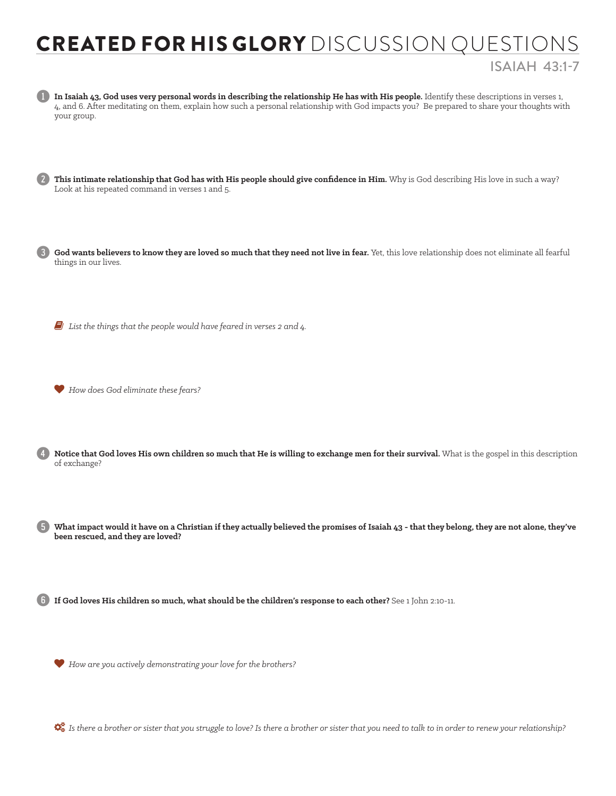## CREATED FOR HIS GLORY DISCUSSION QUESTIONS ISAIAH 43:1-7



God wants believers to know they are loved so much that they need not live in fear. Yet, this love relationship does not eliminate all fearful things in our lives.

6 *List the things that the people would have feared in verses 2 and 4.*

*How does God eliminate these fears?*

Notice that God loves His own children so much that He is willing to exchange men for their survival. What is the gospel in this description of exchange?

5 **What impact would it have on a Christian if they actually believed the promises of Isaiah 43 - that they belong, they are not alone, they've been rescued, and they are loved?** 

6 **If God loves His children so much, what should be the children's response to each other?** See 1 John 2:10-11.

*How are you actively demonstrating your love for the brothers?*

*Is there a brother or sister that you struggle to love? Is there a brother or sister that you need to talk to in order to renew your relationship?*